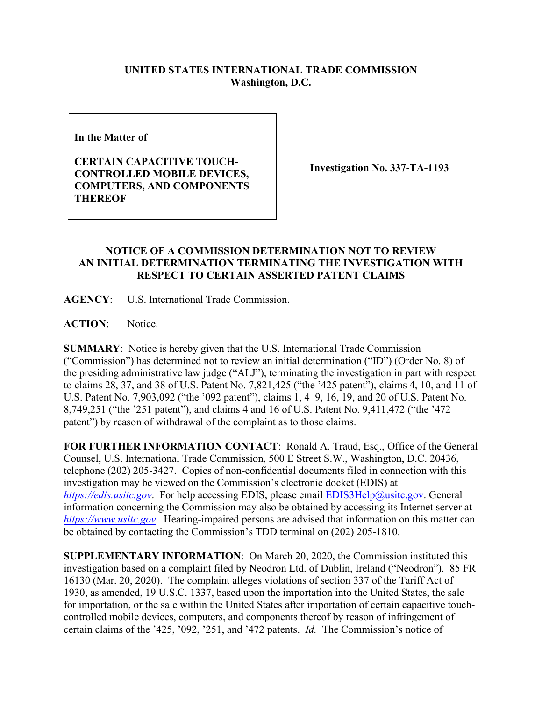## **UNITED STATES INTERNATIONAL TRADE COMMISSION Washington, D.C.**

**In the Matter of** 

**CERTAIN CAPACITIVE TOUCH-CONTROLLED MOBILE DEVICES, COMPUTERS, AND COMPONENTS THEREOF**

**Investigation No. 337-TA-1193**

## **NOTICE OF A COMMISSION DETERMINATION NOT TO REVIEW AN INITIAL DETERMINATION TERMINATING THE INVESTIGATION WITH RESPECT TO CERTAIN ASSERTED PATENT CLAIMS**

**AGENCY**: U.S. International Trade Commission.

**ACTION**: Notice.

**SUMMARY**: Notice is hereby given that the U.S. International Trade Commission ("Commission") has determined not to review an initial determination ("ID") (Order No. 8) of the presiding administrative law judge ("ALJ"), terminating the investigation in part with respect to claims 28, 37, and 38 of U.S. Patent No. 7,821,425 ("the '425 patent"), claims 4, 10, and 11 of U.S. Patent No. 7,903,092 ("the '092 patent"), claims 1, 4–9, 16, 19, and 20 of U.S. Patent No. 8,749,251 ("the '251 patent"), and claims 4 and 16 of U.S. Patent No. 9,411,472 ("the '472 patent") by reason of withdrawal of the complaint as to those claims.

**FOR FURTHER INFORMATION CONTACT**: Ronald A. Traud, Esq., Office of the General Counsel, U.S. International Trade Commission, 500 E Street S.W., Washington, D.C. 20436, telephone (202) 205-3427. Copies of non-confidential documents filed in connection with this investigation may be viewed on the Commission's electronic docket (EDIS) at *[https://edis.usitc.gov](https://edis.usitc.gov/)*. For help accessing EDIS, please email [EDIS3Help@usitc.gov.](mailto:EDIS3Help@usitc.gov) General information concerning the Commission may also be obtained by accessing its Internet server at *[https://www.usitc.gov](https://www.usitc.gov/)*. Hearing-impaired persons are advised that information on this matter can be obtained by contacting the Commission's TDD terminal on (202) 205-1810.

**SUPPLEMENTARY INFORMATION**: On March 20, 2020, the Commission instituted this investigation based on a complaint filed by Neodron Ltd. of Dublin, Ireland ("Neodron"). 85 FR 16130 (Mar. 20, 2020). The complaint alleges violations of section 337 of the Tariff Act of 1930, as amended, 19 U.S.C. 1337, based upon the importation into the United States, the sale for importation, or the sale within the United States after importation of certain capacitive touchcontrolled mobile devices, computers, and components thereof by reason of infringement of certain claims of the '425, '092, '251, and '472 patents. *Id.* The Commission's notice of